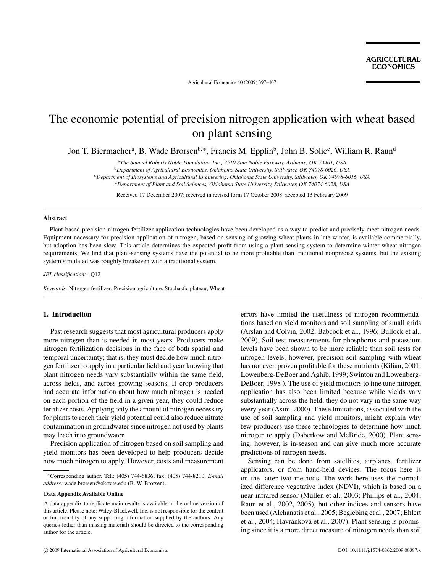Agricultural Economics 40 (2009) 397–407

# The economic potential of precision nitrogen application with wheat based on plant sensing

Jon T. Biermacher<sup>a</sup>, B. Wade Brorsen<sup>b,∗</sup>, Francis M. Epplin<sup>b</sup>, John B. Solie<sup>c</sup>, William R. Raun<sup>d</sup>

<sup>a</sup>*The Samuel Roberts Noble Foundation, Inc., 2510 Sam Noble Parkway, Ardmore, OK 73401, USA*

<sup>b</sup>*Department of Agricultural Economics, Oklahoma State University, Stillwater, OK 74078-6026, USA*

<sup>c</sup>*Department of Biosystems and Agricultural Engineering, Oklahoma State University, Stillwater, OK 74078-6016, USA*

<sup>d</sup>*Department of Plant and Soil Sciences, Oklahoma State University, Stillwater, OK 74074-6028, USA*

Received 17 December 2007; received in revised form 17 October 2008; accepted 13 February 2009

## **Abstract**

Plant-based precision nitrogen fertilizer application technologies have been developed as a way to predict and precisely meet nitrogen needs. Equipment necessary for precision application of nitrogen, based on sensing of growing wheat plants in late winter, is available commercially, but adoption has been slow. This article determines the expected profit from using a plant-sensing system to determine winter wheat nitrogen requirements. We find that plant-sensing systems have the potential to be more profitable than traditional nonprecise systems, but the existing system simulated was roughly breakeven with a traditional system.

*JEL classification:* Q12

*Keywords:* Nitrogen fertilizer; Precision agriculture; Stochastic plateau; Wheat

# **1. Introduction**

Past research suggests that most agricultural producers apply more nitrogen than is needed in most years. Producers make nitrogen fertilization decisions in the face of both spatial and temporal uncertainty; that is, they must decide how much nitrogen fertilizer to apply in a particular field and year knowing that plant nitrogen needs vary substantially within the same field, across fields, and across growing seasons. If crop producers had accurate information about how much nitrogen is needed on each portion of the field in a given year, they could reduce fertilizer costs. Applying only the amount of nitrogen necessary for plants to reach their yield potential could also reduce nitrate contamination in groundwater since nitrogen not used by plants may leach into groundwater.

Precision application of nitrogen based on soil sampling and yield monitors has been developed to help producers decide how much nitrogen to apply. However, costs and measurement errors have limited the usefulness of nitrogen recommendations based on yield monitors and soil sampling of small grids (Arslan and Colvin, 2002; Babcock et al., 1996; Bullock et al., 2009). Soil test measurements for phosphorus and potassium levels have been shown to be more reliable than soil tests for nitrogen levels; however, precision soil sampling with wheat has not even proven profitable for these nutrients (Kilian, 2001; Lowenberg-DeBoer and Aghib, 1999; Swinton and Lowenberg-DeBoer, 1998 ). The use of yield monitors to fine tune nitrogen application has also been limited because while yields vary substantially across the field, they do not vary in the same way every year (Asim, 2000). These limitations, associated with the use of soil sampling and yield monitors, might explain why few producers use these technologies to determine how much nitrogen to apply (Daberkow and McBride, 2000). Plant sensing, however, is in-season and can give much more accurate predictions of nitrogen needs.

Sensing can be done from satellites, airplanes, fertilizer applicators, or from hand-held devices. The focus here is on the latter two methods. The work here uses the normalized difference vegetative index (NDVI), which is based on a near-infrared sensor (Mullen et al., 2003; Phillips et al., 2004; Raun et al., 2002, 2005), but other indices and sensors have been used (Alchanatis et al., 2005; Begiebing et al., 2007; Ehlert et al., 2004; Havránková et al., 2007). Plant sensing is promising since it is a more direct measure of nitrogen needs than soil

<sup>∗</sup>Corresponding author. Tel.: (405) 744-6836; fax: (405) 744-8210. *E-mail address:* wade.brorsen@okstate.edu (B. W. Brorsen).

**Data Appendix Available Online**

A data appendix to replicate main results is available in the online version of this article. Please note: Wiley-Blackwell, Inc. is not responsible for the content or functionality of any supporting information supplied by the authors. Any queries (other than missing material) should be directed to the corresponding author for the article.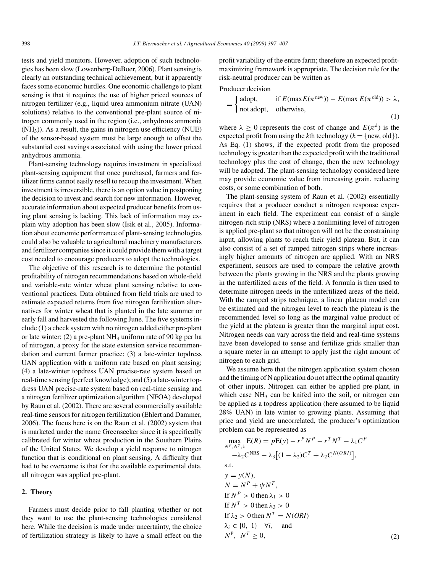tests and yield monitors. However, adoption of such technologies has been slow (Lowenberg-DeBoer, 2006). Plant sensing is clearly an outstanding technical achievement, but it apparently faces some economic hurdles. One economic challenge to plant sensing is that it requires the use of higher priced sources of nitrogen fertilizer (e.g., liquid urea ammonium nitrate (UAN) solutions) relative to the conventional pre-plant source of nitrogen commonly used in the region (i.e., anhydrous ammonia (NH3)). As a result, the gains in nitrogen use efficiency (NUE) of the sensor-based system must be large enough to offset the substantial cost savings associated with using the lower priced anhydrous ammonia.

Plant-sensing technology requires investment in specialized plant-sensing equipment that once purchased, farmers and fertilizer firms cannot easily resell to recoup the investment. When investment is irreversible, there is an option value in postponing the decision to invest and search for new information. However, accurate information about expected producer benefits from using plant sensing is lacking. This lack of information may explain why adoption has been slow (Isik et al., 2005). Information about economic performance of plant-sensing technologies could also be valuable to agricultural machinery manufacturers and fertilizer companies since it could provide them with a target cost needed to encourage producers to adopt the technologies.

The objective of this research is to determine the potential profitability of nitrogen recommendations based on whole-field and variable-rate winter wheat plant sensing relative to conventional practices. Data obtained from field trials are used to estimate expected returns from five nitrogen fertilization alternatives for winter wheat that is planted in the late summer or early fall and harvested the following June. The five systems include (1) a check system with no nitrogen added either pre-plant or late winter; (2) a pre-plant  $NH<sub>3</sub>$  uniform rate of 90 kg per ha of nitrogen, a proxy for the state extension service recommendation and current farmer practice; (3) a late-winter topdress UAN application with a uniform rate based on plant sensing; (4) a late-winter topdress UAN precise-rate system based on real-time sensing (perfect knowledge); and (5) a late-winter topdress UAN precise-rate system based on real-time sensing and a nitrogen fertilizer optimization algorithm (NFOA) developed by Raun et al. (2002). There are several commercially available real-time sensors for nitrogen fertilization (Ehlert and Dammer, 2006). The focus here is on the Raun et al. (2002) system that is marketed under the name Greenseeker since it is specifically calibrated for winter wheat production in the Southern Plains of the United States. We develop a yield response to nitrogen function that is conditional on plant sensing. A difficulty that had to be overcome is that for the available experimental data, all nitrogen was applied pre-plant.

# **2. Theory**

Farmers must decide prior to fall planting whether or not they want to use the plant-sensing technologies considered here. While the decision is made under uncertainty, the choice of fertilization strategy is likely to have a small effect on the

profit variability of the entire farm; therefore an expected profitmaximizing framework is appropriate. The decision rule for the risk-neutral producer can be written as

Producer decision

$$
= \begin{cases} \text{adopt,} & \text{if } E(\max E(\pi^{\text{new}})) - E(\max E(\pi^{\text{old}})) > \lambda, \\ \text{not adopt,} & \text{otherwise,} \end{cases} \tag{1}
$$

where  $\lambda \geq 0$  represents the cost of change and  $E(\pi^k)$  is the expected profit from using the *k*th technology ( $k = \{new, old\}$ ). As Eq. (1) shows, if the expected profit from the proposed technology is greater than the expected profit with the traditional technology plus the cost of change, then the new technology will be adopted. The plant-sensing technology considered here may provide economic value from increasing grain, reducing costs, or some combination of both.

The plant-sensing system of Raun et al. (2002) essentially requires that a producer conduct a nitrogen response experiment in each field. The experiment can consist of a single nitrogen-rich strip (NRS) where a nonlimiting level of nitrogen is applied pre-plant so that nitrogen will not be the constraining input, allowing plants to reach their yield plateau. But, it can also consist of a set of ramped nitrogen strips where increasingly higher amounts of nitrogen are applied. With an NRS experiment, sensors are used to compare the relative growth between the plants growing in the NRS and the plants growing in the unfertilized areas of the field. A formula is then used to determine nitrogen needs in the unfertilized areas of the field. With the ramped strips technique, a linear plateau model can be estimated and the nitrogen level to reach the plateau is the recommended level so long as the marginal value product of the yield at the plateau is greater than the marginal input cost. Nitrogen needs can vary across the field and real-time systems have been developed to sense and fertilize grids smaller than a square meter in an attempt to apply just the right amount of nitrogen to each grid.

We assume here that the nitrogen application system chosen and the timing of N application do not affect the optimal quantity of other inputs. Nitrogen can either be applied pre-plant, in which case  $NH<sub>3</sub>$  can be knifed into the soil, or nitrogen can be applied as a topdress application (here assumed to be liquid 28% UAN) in late winter to growing plants. Assuming that price and yield are uncorrelated, the producer's optimization problem can be represented as

$$
\max_{N^{P}, N^{T}, \lambda} E(R) = pE(y) - r^{P} N^{P} - r^{T} N^{T} - \lambda_{1} C^{P}
$$
  
\n
$$
-\lambda_{2} C^{NRS} - \lambda_{3} [(1 - \lambda_{2}) C^{T} + \lambda_{2} C^{N(ORI)}],
$$
  
\ns.t.  
\n
$$
y = y(N),
$$
  
\n
$$
N = N^{P} + \psi N^{T},
$$
  
\nIf  $N^{P} > 0$  then  $\lambda_{1} > 0$   
\nIf  $N^{T} > 0$  then  $\lambda_{3} > 0$   
\nIf  $\lambda_{2} > 0$  then  $N^{T} = N(ORI)$   
\n $\lambda_{i} \in \{0, 1\} \quad \forall i, \text{ and}$   
\n $N^{P}, N^{T} \ge 0,$  (2)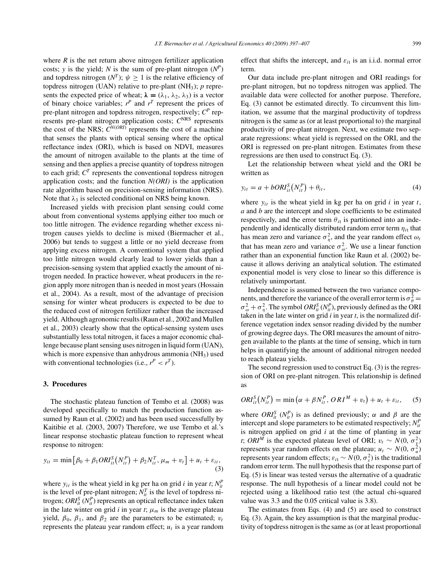where  $R$  is the net return above nitrogen fertilizer application costs; *y* is the yield; *N* is the sum of pre-plant nitrogen  $(N^P)$ and topdress nitrogen  $(N^T)$ ;  $\psi > 1$  is the relative efficiency of topdress nitrogen (UAN) relative to pre-plant (NH3); *p* represents the expected price of wheat;  $\lambda = (\lambda_1, \lambda_2, \lambda_3)$  is a vector of binary choice variables;  $r^P$  and  $r^T$  represent the prices of pre-plant nitrogen and topdress nitrogen, respectively;  $C^P$  represents pre-plant nitrogen application costs;  $C<sup>NRS</sup>$  represents the cost of the NRS;  $C^{N(ORI)}$  represents the cost of a machine that senses the plants with optical sensing where the optical reflectance index (ORI), which is based on NDVI, measures the amount of nitrogen available to the plants at the time of sensing and then applies a precise quantity of topdress nitrogen to each grid;  $C<sup>T</sup>$  represents the conventional topdress nitrogen application costs; and the function *N(ORI)* is the application rate algorithm based on precision-sensing information (NRS). Note that  $\lambda_3$  is selected conditional on NRS being known.

Increased yields with precision plant sensing could come about from conventional systems applying either too much or too little nitrogen. The evidence regarding whether excess nitrogen causes yields to decline is mixed (Biermacher et al., 2006) but tends to suggest a little or no yield decrease from applying excess nitrogen. A conventional system that applied too little nitrogen would clearly lead to lower yields than a precision-sensing system that applied exactly the amount of nitrogen needed. In practice however, wheat producers in the region apply more nitrogen than is needed in most years (Hossain et al., 2004). As a result, most of the advantage of precision sensing for winter wheat producers is expected to be due to the reduced cost of nitrogen fertilizer rather than the increased yield. Although agronomic results (Raun et al., 2002 and Mullen et al., 2003) clearly show that the optical-sensing system uses substantially less total nitrogen, it faces a major economic challenge because plant sensing uses nitrogen in liquid form (UAN), which is more expensive than anhydrous ammonia  $(NH_3)$  used with conventional technologies (i.e.,  $r^P < r^T$ ).

## **3. Procedures**

The stochastic plateau function of Tembo et al. (2008) was developed specifically to match the production function assumed by Raun et al. (2002) and has been used successfully by Kaitibie et al. (2003, 2007) Therefore, we use Tembo et al.'s linear response stochastic plateau function to represent wheat response to nitrogen:

$$
y_{it} = \min [\beta_0 + \beta_1 ORI_{it}^S(N_{it}^P) + \beta_2 N_{it}^T, \mu_m + v_t] + u_t + \varepsilon_{it},
$$
\n(3)

where  $y_{it}$  is the wheat yield in kg per ha on grid *i* in year *t*;  $N_{it}^P$ is the level of pre-plant nitrogen;  $N_t^T$  is the level of topdress nitrogen;  $ORI_{it}^{S}$  ( $N_{it}^{P}$ ) represents an optical reflectance index taken in the late winter on grid *i* in year *t*;  $\mu_m$  is the average plateau yield,  $\beta_0$ ,  $\beta_1$ , and  $\beta_2$  are the parameters to be estimated;  $v_t$ represents the plateau year random effect;  $u_t$  is a year random effect that shifts the intercept, and  $\varepsilon_{it}$  is an i.i.d. normal error term.

Our data include pre-plant nitrogen and ORI readings for pre-plant nitrogen, but no topdress nitrogen was applied. The available data were collected for another purpose. Therefore, Eq. (3) cannot be estimated directly. To circumvent this limitation, we assume that the marginal productivity of topdress nitrogen is the same as (or at least proportional to) the marginal productivity of pre-plant nitrogen. Next, we estimate two separate regressions: wheat yield is regressed on the ORI, and the ORI is regressed on pre-plant nitrogen. Estimates from these regressions are then used to construct Eq. (3).

Let the relationship between wheat yield and the ORI be written as

$$
y_{it} = a + bORI_{it}^{S}(N_{it}^{P}) + \theta_{it}, \qquad (4)
$$

where  $y_{it}$  is the wheat yield in kg per ha on grid  $i$  in year  $t$ , *a* and *b* are the intercept and slope coefficients to be estimated respectively, and the error term  $\theta_{it}$  is partitioned into an independently and identically distributed random error term *ηi*<sup>t</sup> that has mean zero and variance  $\sigma_{\eta}^2$ , and the year random effect  $\omega_t$ that has mean zero and variance  $\sigma_{\omega}^2$ . We use a linear function rather than an exponential function like Raun et al. (2002) because it allows deriving an analytical solution. The estimated exponential model is very close to linear so this difference is relatively unimportant.

Independence is assumed between the two variance components, and therefore the variance of the overall error term is  $\sigma_{\theta}^2 =$  $\sigma_{\omega}^2 + \sigma_{\eta}^2$ . The symbol *ORI*<sup>*S*</sup><sub>*it*</sub> (*N*<sub>*l*</sub><sup>*n*</sup>), previously defined as the ORI taken in the late winter on grid *i* in year *t*, is the normalized difference vegetation index sensor reading divided by the number of growing degree days. The ORI measures the amount of nitrogen available to the plants at the time of sensing, which in turn helps in quantifying the amount of additional nitrogen needed to reach plateau yields.

The second regression used to construct Eq. (3) is the regression of ORI on pre-plant nitrogen. This relationship is defined as

$$
ORIitS(NitP) = min (\alpha + \beta NitP, ORIM + vt) + ut + \varepsilonit,
$$
 (5)

where  $ORI_{it}^{S}$  ( $N_{it}^{P}$ ) is as defined previously;  $\alpha$  and  $\beta$  are the intercept and slope parameters to be estimated respectively;  $N_t^P$ is nitrogen applied on grid *i* at the time of planting in year *t*; *ORI<sup>M</sup>* is the expected plateau level of ORI;  $v_t \sim N(0, \sigma_v^2)$ represents year random effects on the plateau;  $u_t \sim N(0, \sigma_u^2)$ represents year random effects;  $\varepsilon_{it} \sim N(0, \sigma_{\varepsilon}^2)$  is the traditional random error term. The null hypothesis that the response part of Eq. (5) is linear was tested versus the alternative of a quadratic response. The null hypothesis of a linear model could not be rejected using a likelihood ratio test (the actual chi-squared value was 3.3 and the 0.05 critical value is 3.8).

The estimates from Eqs. (4) and (5) are used to construct Eq. (3). Again, the key assumption is that the marginal productivity of topdress nitrogen is the same as (or at least proportional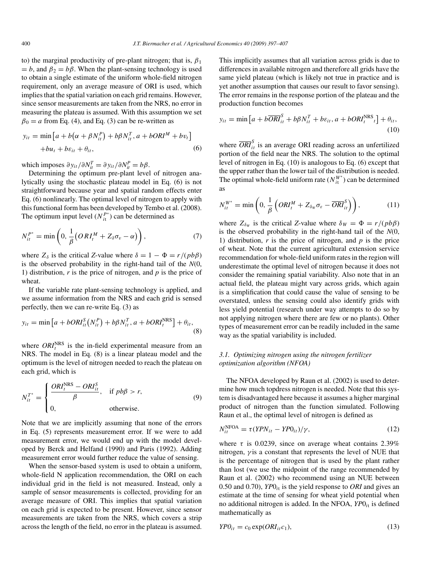to) the marginal productivity of pre-plant nitrogen; that is,  $\beta_1$  $= b$ , and  $\beta_2 = b\beta$ . When the plant-sensing technology is used to obtain a single estimate of the uniform whole-field nitrogen requirement, only an average measure of ORI is used, which implies that the spatial variation on each grid remains. However, since sensor measurements are taken from the NRS, no error in measuring the plateau is assumed. With this assumption we set  $\beta_0 = a$  from Eq. (4), and Eq. (3) can be re-written as

$$
y_{it} = \min [a + b(\alpha + \beta N_{it}^{P}) + b\beta N_{it}^{T}, a + bORI^{M} + bv_{t}]
$$
  
+
$$
bu_{t} + b\varepsilon_{it} + \theta_{it},
$$
 (6)

which imposes  $\partial y_{it}/\partial N_{it}^T = \partial y_{it}/\partial N_{it}^P = b\beta$ .

Determining the optimum pre-plant level of nitrogen analytically using the stochastic plateau model in Eq. (6) is not straightforward because year and spatial random effects enter Eq. (6) nonlinearly. The optimal level of nitrogen to apply with this functional form has been developed by Tembo et al. (2008). The optimum input level  $(N_{it}^{P^*})$  can be determined as

$$
N_{it}^{P^*} = \min\left(0, \frac{1}{\beta}\big(ORI_t^M + Z_\delta \sigma_v - \alpha\big)\right),\tag{7}
$$

where  $Z_{\delta}$  is the critical *Z*-value where  $\delta = 1 - \Phi = r/(pb\beta)$ is the observed probability in the right-hand tail of the *N*(0, 1) distribution, *r* is the price of nitrogen, and *p* is the price of wheat.

If the variable rate plant-sensing technology is applied, and we assume information from the NRS and each grid is sensed perfectly, then we can re-write Eq. (3) as

$$
y_{it} = \min\left[a + bORI_{it}^{S}(N_{it}^{P}) + b\beta N_{it}^{T}, a + bORI_{t}^{NRS}\right] + \theta_{it},
$$
\n(8)

where  $ORI_t^{NRS}$  is the in-field experimental measure from an NRS. The model in Eq. (8) is a linear plateau model and the optimum is the level of nitrogen needed to reach the plateau on each grid, which is

$$
N_{it}^{T^*} = \begin{cases} \frac{ORI_t^{NRS} - ORI_{it}^S}{\beta}, & \text{if } pb\beta > r, \\ 0, & \text{otherwise.} \end{cases}
$$
(9)

Note that we are implicitly assuming that none of the errors in Eq. (5) represents measurement error. If we were to add measurement error, we would end up with the model developed by Berck and Helfand (1990) and Paris (1992). Adding measurement error would further reduce the value of sensing.

When the sensor-based system is used to obtain a uniform, whole-field N application recommendation, the ORI on each individual grid in the field is not measured. Instead, only a sample of sensor measurements is collected, providing for an average measure of ORI. This implies that spatial variation on each grid is expected to be present. However, since sensor measurements are taken from the NRS, which covers a strip across the length of the field, no error in the plateau is assumed. This implicitly assumes that all variation across grids is due to differences in available nitrogen and therefore all grids have the same yield plateau (which is likely not true in practice and is yet another assumption that causes our result to favor sensing). The error remains in the response portion of the plateau and the production function becomes

$$
y_{it} = \min\left[a + b\overline{ORI}_{it}^{S} + b\beta N_{it}^{T} + b\varepsilon_{it}, a + bORI_{t}^{NRS}{}_{t}\right] + \theta_{it},
$$
\n(10)

where  $\overline{ORI}_{it}^S$  is an average ORI reading across an unfertilized portion of the field near the NRS. The solution to the optimal level of nitrogen in Eq. (10) is analogous to Eq. (6) except that the upper rather than the lower tail of the distribution is needed. The optimal whole-field uniform rate  $(N_{it}^{W^*})$  can be determined as

$$
N_{it}^{W^*} = \min\left(0, \frac{1}{\beta} \left( ORI_t^M + Z_{\delta_W} \sigma_{\varepsilon} - \overline{ORI}_{it}^S \right) \right),\tag{11}
$$

where  $Z_{\delta_W}$  is the critical *Z*-value where  $\delta_W = \Phi = r/(pb\beta)$ is the observed probability in the right-hand tail of the *N*(0, 1) distribution, *r* is the price of nitrogen, and *p* is the price of wheat. Note that the current agricultural extension service recommendation for whole-field uniform rates in the region will underestimate the optimal level of nitrogen because it does not consider the remaining spatial variability. Also note that in an actual field, the plateau might vary across grids, which again is a simplification that could cause the value of sensing to be overstated, unless the sensing could also identify grids with less yield potential (research under way attempts to do so by not applying nitrogen where there are few or no plants). Other types of measurement error can be readily included in the same way as the spatial variability is included.

# *3.1. Optimizing nitrogen using the nitrogen fertilizer optimization algorithm (NFOA)*

The NFOA developed by Raun et al. (2002) is used to determine how much topdress nitrogen is needed. Note that this system is disadvantaged here because it assumes a higher marginal product of nitrogen than the function simulated. Following Raun et al., the optimal level of nitrogen is defined as

$$
N_{it}^{\text{NFOA}} = \tau (YPN_{it} - YPO_{it})/\gamma, \qquad (12)
$$

where  $\tau$  is 0.0239, since on average wheat contains 2.39% nitrogen, *γ* is a constant that represents the level of NUE that is the percentage of nitrogen that is used by the plant rather than lost (we use the midpoint of the range recommended by Raun et al. (2002) who recommend using an NUE between 0.50 and 0.70), *YP*0*<sup>i</sup>*<sup>t</sup> is the yield response to *ORI* and gives an estimate at the time of sensing for wheat yield potential when no additional nitrogen is added. In the NFOA, *YP*0*<sup>i</sup>*<sup>t</sup> is defined mathematically as

$$
YPO_{it} = c_0 \exp(ORI_{it}c_1), \tag{13}
$$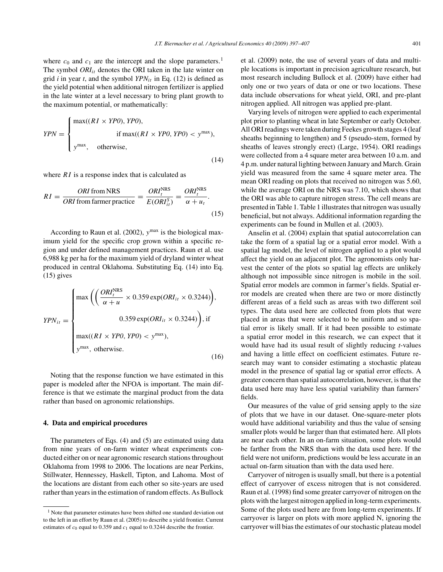where  $c_0$  and  $c_1$  are the intercept and the slope parameters.<sup>1</sup> The symbol *ORIit* denotes the ORI taken in the late winter on grid *i* in year *t*, and the symbol *YPNit* in Eq. (12) is defined as the yield potential when additional nitrogen fertilizer is applied in the late winter at a level necessary to bring plant growth to the maximum potential, or mathematically:

$$
YPN = \begin{cases} \max((RI \times YPO), YPO), & \\ \text{if } \max((RI \times YPO, YPO) < y^{\max}), \\ y^{\max}, & \text{otherwise,} \end{cases} \tag{14}
$$

where *RI* is a response index that is calculated as

$$
RI = \frac{ORI \text{ from NRS}}{ORI \text{ from farmer practice}} = \frac{ORI_t^{\text{NRS}}}{E(ORI_{it}^S)} = \frac{ORI_t^{\text{NRS}}}{\alpha + u_t}.
$$
\n(15)

According to Raun et al. (2002), *y*max is the biological maximum yield for the specific crop grown within a specific region and under defined management practices. Raun et al. use 6,988 kg per ha for the maximum yield of dryland winter wheat produced in central Oklahoma. Substituting Eq. (14) into Eq.  $(15)$  gives

$$
YPN_{it} = \begin{cases} \max\left( \left( \frac{ORI_t^{NRS}}{\alpha + u} \times 0.359 \exp(ORI_{it} \times 0.3244) \right), \\ 0.359 \exp(ORI_{it} \times 0.3244) \right), \text{ if} \\ \max((RI \times YPO, YPO) < y^{\max}), \\ y^{\max}, \text{ otherwise.} \end{cases} (16)
$$

Noting that the response function we have estimated in this paper is modeled after the NFOA is important. The main difference is that we estimate the marginal product from the data rather than based on agronomic relationships.

#### **4. Data and empirical procedures**

The parameters of Eqs. (4) and (5) are estimated using data from nine years of on-farm winter wheat experiments conducted either on or near agronomic research stations throughout Oklahoma from 1998 to 2006. The locations are near Perkins, Stillwater, Hennessey, Haskell, Tipton, and Lahoma. Most of the locations are distant from each other so site-years are used rather than years in the estimation of random effects. As Bullock

et al. (2009) note, the use of several years of data and multiple locations is important in precision agriculture research, but most research including Bullock et al. (2009) have either had only one or two years of data or one or two locations. These data include observations for wheat yield, ORI, and pre-plant nitrogen applied. All nitrogen was applied pre-plant.

Varying levels of nitrogen were applied to each experimental plot prior to planting wheat in late September or early October. All ORI readings were taken during Feekes growth stages 4 (leaf sheaths beginning to lengthen) and 5 (pseudo-stem, formed by sheaths of leaves strongly erect) (Large, 1954). ORI readings were collected from a 4 square meter area between 10 a.m. and 4 p.m. under natural lighting between January and March. Grain yield was measured from the same 4 square meter area. The mean ORI reading on plots that received no nitrogen was 5.60, while the average ORI on the NRS was 7.10, which shows that the ORI was able to capture nitrogen stress. The cell means are presented in Table 1. Table 1 illustrates that nitrogen was usually beneficial, but not always. Additional information regarding the experiments can be found in Mullen et al. (2003).

Anselin et al. (2004) explain that spatial autocorrelation can take the form of a spatial lag or a spatial error model. With a spatial lag model, the level of nitrogen applied to a plot would affect the yield on an adjacent plot. The agronomists only harvest the center of the plots so spatial lag effects are unlikely although not impossible since nitrogen is mobile in the soil. Spatial error models are common in farmer's fields. Spatial error models are created when there are two or more distinctly different areas of a field such as areas with two different soil types. The data used here are collected from plots that were placed in areas that were selected to be uniform and so spatial error is likely small. If it had been possible to estimate a spatial error model in this research, we can expect that it would have had its usual result of slightly reducing *t*-values and having a little effect on coefficient estimates. Future research may want to consider estimating a stochastic plateau model in the presence of spatial lag or spatial error effects. A greater concern than spatial autocorrelation, however, is that the data used here may have less spatial variability than farmers' fields.

Our measures of the value of grid sensing apply to the size of plots that we have in our dataset. One-square-meter plots would have additional variability and thus the value of sensing smaller plots would be larger than that estimated here. All plots are near each other. In an on-farm situation, some plots would be farther from the NRS than with the data used here. If the field were not uniform, predictions would be less accurate in an actual on-farm situation than with the data used here.

Carryover of nitrogen is usually small, but there is a potential effect of carryover of excess nitrogen that is not considered. Raun et al. (1998) find some greater carryover of nitrogen on the plots with the largest nitrogen applied in long-term experiments. Some of the plots used here are from long-term experiments. If carryover is larger on plots with more applied N, ignoring the carryover will bias the estimates of our stochastic plateau model

<sup>1</sup> Note that parameter estimates have been shifted one standard deviation out to the left in an effort by Raun et al. (2005) to describe a yield frontier. Current estimates of  $c_0$  equal to 0.359 and  $c_1$  equal to 0.3244 describe the frontier.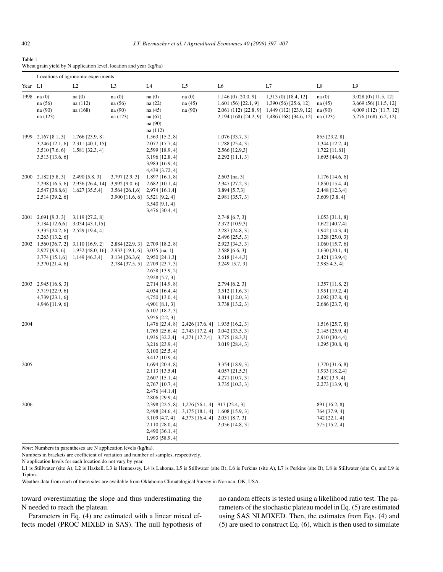#### Table 1

|  |  |  | Wheat grain yield by N application level, location and year (kg/ha) |  |  |  |
|--|--|--|---------------------------------------------------------------------|--|--|--|
|--|--|--|---------------------------------------------------------------------|--|--|--|

|         |                                                                                               | Locations of agronomic experiments                                                                   |                                                                      |                                                                                                                            |                                                                                                                                                      |                                                                             |                                                                                                                                                                 |                                                                            |                                                                                                  |
|---------|-----------------------------------------------------------------------------------------------|------------------------------------------------------------------------------------------------------|----------------------------------------------------------------------|----------------------------------------------------------------------------------------------------------------------------|------------------------------------------------------------------------------------------------------------------------------------------------------|-----------------------------------------------------------------------------|-----------------------------------------------------------------------------------------------------------------------------------------------------------------|----------------------------------------------------------------------------|--------------------------------------------------------------------------------------------------|
| Year L1 |                                                                                               | L2                                                                                                   | L <sub>3</sub>                                                       | L <sub>4</sub>                                                                                                             | L <sub>5</sub>                                                                                                                                       | L <sub>6</sub>                                                              | L7                                                                                                                                                              | L8                                                                         | L9                                                                                               |
|         | 1998 na (0)<br>na (56)<br>na (90)<br>na (123)                                                 | na(0)<br>na (112)<br>na (168)                                                                        | na(0)<br>na (56)<br>na (90)<br>na (123)                              | na(0)<br>na (22)<br>na (45)<br>na (67)<br>na (90)                                                                          | na(0)<br>na(45)<br>na (90)                                                                                                                           | $1,146(0)$ [20.0, 9]<br>$1,601(56)$ [22.1, 9]                               | 1,313 (0) [18.4, 12]<br>$1,390(56)$ [25.6, 12]<br>2,061 (112) [22.8, 9] 1,449 (112) [23.9, 12] na (90)<br>2,194 (168) [24.2, 9] 1,486 (168) [34.6, 12] na (123) | na(0)<br>na(45)                                                            | 3,028 (0) [11.5, 12]<br>3,669 (56) [11.5, 12]<br>4,009 (112) [11.7, 12]<br>5,276 (168) [6.2, 12] |
|         | 1999 2, 167 [8.1, 3]<br>3,510 [7.6, 6]<br>$3,513$ [13.6, 6]                                   | 1,766 [23.9, 8]<br>3,246 [12.1, 6] 2,311 [40.1, 15]<br>1,581 [32.3, 4]                               |                                                                      | na (112)<br>1,563 [15.2, 8]<br>2,077 [17.7, 4]<br>2,599 [18.9, 4]<br>3,196 [12.8, 4]<br>3,983 [16.9, 4]<br>4,439 [3.72, 4] |                                                                                                                                                      | $1,076$ [33.7, 3]<br>1,788 [25.4, 3]<br>2,566 [12.9,3]<br>$2,292$ [11.1, 3] |                                                                                                                                                                 | 855 [23.2, 8]<br>1,344 [12.2, 4]<br>1,722 [11.81]<br>$1,695$ [44.6, 3]     |                                                                                                  |
|         | 2000 2,182 [5.8, 3]<br>2,514 [39.2, 6]                                                        | $2,490$ [5.8, 3]<br>2,298 [16.5, 6] 2,936 [26.4, 14] 3,992 [9.0, 6]<br>2,547 [38.8,6] 1,627 [35.5,4] | 3,797 [2.9, 3]<br>$3,564$ [26.1,6]<br>3,900 [11.6, 6] 3,521 [9.2, 4] | $1,897$ [16.1, 8]<br>$2,682$ [10.1, 4]<br>2,974 [16.1,4]<br>3,540 [9.1, 4]                                                 |                                                                                                                                                      | $2,603$ [na, 3]<br>2,947 [27.2, 3]<br>3,894 [5.7,3]<br>2,981 [35.7, 3]      |                                                                                                                                                                 | $1,176$ [14.6, 6]<br>$1,850$ [15.4, 4]<br>2,448 [12.3,4]<br>3,609 [3.8, 4] |                                                                                                  |
|         | 2001 2,691 [9.3, 3]<br>$3,263$ [13.2, 6]                                                      | 3,119 [27.2, 8]<br>$3,184$ [12.6,6] $3,034$ [43.1,15]<br>3,335 [24.2, 6] 2,529 [19.4, 4]             |                                                                      | 3,476 [30.4, 4]                                                                                                            |                                                                                                                                                      | 2,748 [6.7, 3]<br>2,372 [10.9,3]<br>2,287 [24.8, 3]<br>2,496 [25.5, 3]      |                                                                                                                                                                 | $1,053$ [31.1, 8]<br>1,622 [40.7,4]<br>1,942 [14.3, 4]<br>1,328 [25.0, 3]  |                                                                                                  |
|         | 2002 1,560 [36.7, 2] 3,110 [16.9, 2]<br>2,927 [9.9, 6]<br>$3,774$ [15.1,6]<br>3,370 [21.4, 6] | 1,932 [48.0, 16] 2,933 [19.1, 6] 3,035 [na, 1]<br>1,149 [46.3,4]                                     | 3,134 [26.3,6]                                                       | 2,884 [22.9, 3] 2,709 [18.2, 8]<br>2,950 [24.1,3]<br>2,784 [37.5, 5] 2,709 [23.7, 3]<br>2,658 [13.9, 2]                    |                                                                                                                                                      | 2,923 [34.3, 3]<br>2,588 [6.6, 3]<br>2,618 [14.4,3]<br>3,249 15.7, 3]       |                                                                                                                                                                 | $1,060$ [15.7, 6]<br>$1,630$ [20.1, 4]<br>2,421 [13.9,4]<br>2,985 4.3, 4]  |                                                                                                  |
|         | 2003 2,945 [16.8, 3]<br>3,719 [22.9, 6]<br>4,739 [23.1, 6]<br>4,946 [11.9, 6]                 |                                                                                                      |                                                                      | 2,928 [5.7, 3]<br>2,714 [14.9, 8]<br>4,034 [16.4, 4]<br>4,750 [13.0, 4]<br>4,901 [8.1, 3]<br>6,107 [18.2, 3]               |                                                                                                                                                      | $2,794$ [6.2, 3]<br>$3,512$ [11.6, 3]<br>3,814 [12.0, 3]<br>3,738 [13.2, 3] |                                                                                                                                                                 | $1,357$ [11.8, 2]<br>1,951 [19.2, 4]<br>2,092 [37.8, 4]<br>2,686 [23.7, 4] |                                                                                                  |
| 2004    |                                                                                               |                                                                                                      |                                                                      | 5,956 [2.2, 3]<br>3,216 [23.9, 4]<br>$3,100$ [25.5, 4]                                                                     | 1,476 [23.4, 8] 2,426 [17.6, 4] 1,935 [16.2, 3]<br>1,765 [25.6, 4] 2,743 [17.2, 4] 3,042 [33.5, 3]<br>1,936 [32.2,4] 4,271 [17.7,4] 3,775 [18.3,3]   | 3,019 [28.4, 3]                                                             |                                                                                                                                                                 | 1,516 [25.7, 8]<br>2,145 [25.9, 4]<br>2,910 [30.4,4]<br>1,295 [30.8, 4]    |                                                                                                  |
| 2005    |                                                                                               |                                                                                                      |                                                                      | 3,412 [10.9, 4]<br>$1,694$ [20.4, 8]<br>2,113 [13.5,4]<br>$2,607$ [15.1, 4]<br>$2,767$ [10.7, 4]<br>2,476 [44.1,4]         |                                                                                                                                                      | 3,354 [18.9, 3]<br>4,057 [21.5,3]<br>4,271 [10.7, 3]<br>3,735 [10.3, 3]     |                                                                                                                                                                 | 1,770 [31.6, 8]<br>1,933 [18.2,4]<br>$2,452$ [3.9, 4]<br>2,273 [13.9, 4]   |                                                                                                  |
| 2006    |                                                                                               |                                                                                                      |                                                                      | 2,806 [29.9, 4]<br>2,110 [28.0, 4]<br>2,490 [36.1, 4]<br>1,993 [58.9, 4]                                                   | 2,398 [22.5, 8] 1,276 [56.1, 4] 917 [22.4, 3]<br>2,498 [24.6, 4] 3,175 [18.1, 4] 1,608 [15.9, 3]<br>3, 109 [4.7, 4] 4, 373 [16.4, 4] 2, 051 [8.7, 3] | 2,056 [14.8, 3]                                                             |                                                                                                                                                                 | 891 [16.2, 8]<br>764 [37.9, 4]<br>742 [22.1, 4]<br>575 [15.2, 4]           |                                                                                                  |

*Note*: Numbers in parentheses are N application levels (kg/ha).

Numbers in brackets are coefficient of variation and number of samples, respectively.

N application levels for each location do not vary by year.

L1 is Stillwater (site A), L2 is Haskell, L3 is Hennessey, L4 is Lahoma, L5 is Stillwater (site B), L6 is Perkins (site A), L7 is Perkins (site B), L8 is Stillwater (site C), and L9 is Tipton.

Weather data from each of these sites are available from Oklahoma Climatalogical Survey in Norman, OK, USA.

toward overestimating the slope and thus underestimating the N needed to reach the plateau.

Parameters in Eq. (4) are estimated with a linear mixed effects model (PROC MIXED in SAS). The null hypothesis of no random effects is tested using a likelihood ratio test. The parameters of the stochastic plateau model in Eq. (5) are estimated using SAS NLMIXED. Then, the estimates from Eqs. (4) and (5) are used to construct Eq. (6), which is then used to simulate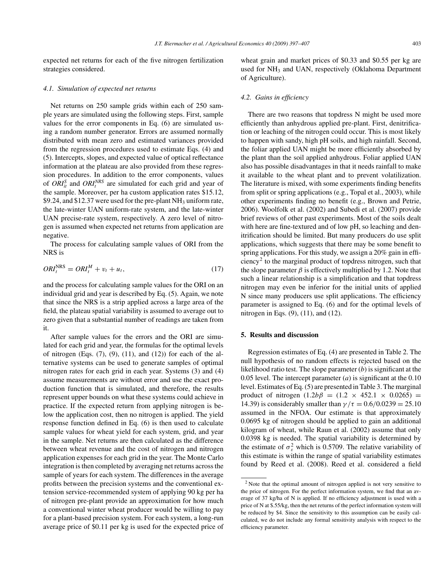expected net returns for each of the five nitrogen fertilization strategies considered.

#### *4.1. Simulation of expected net returns*

Net returns on 250 sample grids within each of 250 sample years are simulated using the following steps. First, sample values for the error components in Eq. (6) are simulated using a random number generator. Errors are assumed normally distributed with mean zero and estimated variances provided from the regression procedures used to estimate Eqs. (4) and (5). Intercepts, slopes, and expected value of optical reflectance information at the plateau are also provided from these regression procedures. In addition to the error components, values of  $ORI_{it}^S$  and  $ORI_t^{NRS}$  are simulated for each grid and year of the sample. Moreover, per ha custom application rates \$15.12, \$9.24, and \$12.37 were used for the pre-plant  $NH<sub>3</sub>$  uniform rate, the late-winter UAN uniform-rate system, and the late-winter UAN precise-rate system, respectively. A zero level of nitrogen is assumed when expected net returns from application are negative.

The process for calculating sample values of ORI from the NRS is

$$
ORI_t^{NRS} = ORI_t^M + v_t + u_t,\tag{17}
$$

and the process for calculating sample values for the ORI on an individual grid and year is described by Eq. (5). Again, we note that since the NRS is a strip applied across a large area of the field, the plateau spatial variability is assumed to average out to zero given that a substantial number of readings are taken from it.

After sample values for the errors and the ORI are simulated for each grid and year, the formulas for the optimal levels of nitrogen (Eqs.  $(7)$ ,  $(9)$ ,  $(11)$ , and  $(12)$ ) for each of the alternative systems can be used to generate samples of optimal nitrogen rates for each grid in each year. Systems (3) and (4) assume measurements are without error and use the exact production function that is simulated, and therefore, the results represent upper bounds on what these systems could achieve in practice. If the expected return from applying nitrogen is below the application cost, then no nitrogen is applied. The yield response function defined in Eq. (6) is then used to calculate sample values for wheat yield for each system, grid, and year in the sample. Net returns are then calculated as the difference between wheat revenue and the cost of nitrogen and nitrogen application expenses for each grid in the year. The Monte Carlo integration is then completed by averaging net returns across the sample of years for each system. The differences in the average profits between the precision systems and the conventional extension service-recommended system of applying 90 kg per ha of nitrogen pre-plant provide an approximation for how much a conventional winter wheat producer would be willing to pay for a plant-based precision system. For each system, a long-run average price of \$0.11 per kg is used for the expected price of wheat grain and market prices of \$0.33 and \$0.55 per kg are used for NH<sub>3</sub> and UAN, respectively (Oklahoma Department of Agriculture).

#### *4.2. Gains in efficiency*

There are two reasons that topdress N might be used more efficiently than anhydrous applied pre-plant. First, denitrification or leaching of the nitrogen could occur. This is most likely to happen with sandy, high pH soils, and high rainfall. Second, the foliar applied UAN might be more efficiently absorbed by the plant than the soil applied anhydrous. Foliar applied UAN also has possible disadvantages in that it needs rainfall to make it available to the wheat plant and to prevent volatilization. The literature is mixed, with some experiments finding benefits from split or spring applications (e.g., Topal et al., 2003), while other experiments finding no benefit (e.g., Brown and Petrie, 2006). Woolfolk et al. (2002) and Subedi et al. (2007) provide brief reviews of other past experiments. Most of the soils dealt with here are fine-textured and of low pH, so leaching and denitrification should be limited. But many producers do use split applications, which suggests that there may be some benefit to spring applications. For this study, we assign a 20% gain in efficiency<sup>2</sup> to the marginal product of topdress nitrogen, such that the slope parameter  $\beta$  is effectively multiplied by 1.2. Note that such a linear relationship is a simplification and that topdress nitrogen may even be inferior for the initial units of applied N since many producers use split applications. The efficiency parameter is assigned to Eq. (6) and for the optimal levels of nitrogen in Eqs. (9), (11), and (12).

#### **5. Results and discussion**

Regression estimates of Eq. (4) are presented in Table 2. The null hypothesis of no random effects is rejected based on the likelihood ratio test. The slope parameter (*b*) is significant at the 0.05 level. The intercept parameter (*a*) is significant at the 0.10 level. Estimates of Eq. (5) are presented in Table 3. The marginal product of nitrogen  $(1.2b\beta = (1.2 \times 452.1 \times 0.0265)$ 14.39) is considerably smaller than  $\gamma/\tau = 0.6/0.0239 = 25.10$ assumed in the NFOA. Our estimate is that approximately 0.0695 kg of nitrogen should be applied to gain an additional kilogram of wheat, while Raun et al. (2002) assume that only 0.0398 kg is needed. The spatial variability is determined by the estimate of  $\sigma_{\varepsilon}^2$  which is 0.5709. The relative variability of this estimate is within the range of spatial variability estimates found by Reed et al. (2008). Reed et al. considered a field

<sup>2</sup> Note that the optimal amount of nitrogen applied is not very sensitive to the price of nitrogen. For the perfect information system, we find that an average of 37 kg/ha of N is applied. If no efficiency adjustment is used with a price of N at \$.55/kg, then the net returns of the perfect information system will be reduced by \$4. Since the sensitivity to this assumption can be easily calculated, we do not include any formal sensitivity analysis with respect to the efficiency parameter.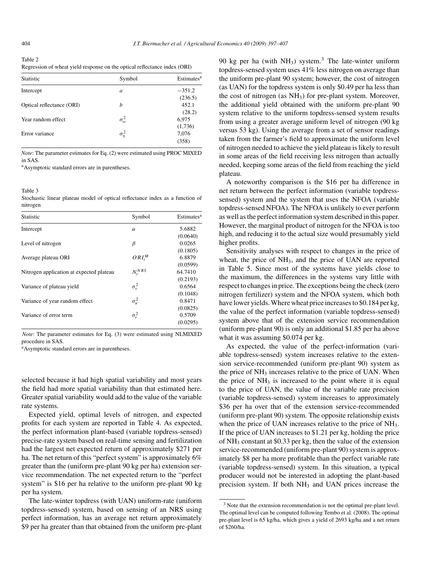| Table 2                                                                   |  |
|---------------------------------------------------------------------------|--|
| Regression of wheat yield response on the optical reflectance index (ORI) |  |

| <b>Statistic</b>          | Symbol              | Estimates <sup>a</sup> |
|---------------------------|---------------------|------------------------|
| Intercept                 | a                   | $-351.2$<br>(236.5)    |
| Optical reflectance (ORI) | h                   | 452.1<br>(28.2)        |
| Year random effect        | $\sigma_{\omega}^2$ | 6,975<br>(1,736)       |
| Error variance            | $\sigma_{\eta}^2$   | 7,076<br>(358)         |

*Note*: The parameter estimates for Eq. (2) were estimated using PROC MIXED in SAS.

aAsymptotic standard errors are in parentheses.

Table 3

Stochastic linear plateau model of optical reflectance index as a function of nitrogen

| Symbol             | Estimates <sup>a</sup> |
|--------------------|------------------------|
| $\alpha$           | 5.6882                 |
|                    | (0.0640)               |
| β                  | 0.0265                 |
|                    | (0.1805)               |
| $ORI^M$            | 6.8879                 |
|                    | (0.0599)               |
| $N_t^{NRS}$        | 64.7410                |
|                    | (0.2193)               |
| $\sigma_v^2$       | 0.6564                 |
|                    | (0.1048)               |
| $\sigma^2_\mu$     | 0.8471                 |
|                    | (0.0825)               |
| $\sigma_{\rm s}^2$ | 0.5709                 |
|                    | (0.0295)               |
|                    |                        |

*Note*: The parameter estimates for Eq. (3) were estimated using NLMIXED procedure in SAS.

<sup>a</sup>Asymptotic standard errors are in parentheses.

selected because it had high spatial variability and most years the field had more spatial variability than that estimated here. Greater spatial variability would add to the value of the variable rate systems.

Expected yield, optimal levels of nitrogen, and expected profits for each system are reported in Table 4. As expected, the perfect information plant-based (variable topdress-sensed) precise-rate system based on real-time sensing and fertilization had the largest net expected return of approximately \$271 per ha. The net return of this "perfect system" is approximately 6% greater than the (uniform pre-plant 90 kg per ha) extension service recommendation. The net expected return to the "perfect system" is \$16 per ha relative to the uniform pre-plant 90 kg per ha system.

The late-winter topdress (with UAN) uniform-rate (uniform topdress-sensed) system, based on sensing of an NRS using perfect information, has an average net return approximately \$9 per ha greater than that obtained from the uniform pre-plant 90 kg per ha (with  $NH<sub>3</sub>$ ) system.<sup>3</sup> The late-winter uniform topdress-sensed system uses 41% less nitrogen on average than the uniform pre-plant 90 system; however, the cost of nitrogen (as UAN) for the topdress system is only \$0.49 per ha less than the cost of nitrogen (as NH3) for pre-plant system. Moreover, the additional yield obtained with the uniform pre-plant 90 system relative to the uniform topdress-sensed system results from using a greater average uniform level of nitrogen (90 kg versus 53 kg). Using the average from a set of sensor readings taken from the farmer's field to approximate the uniform level of nitrogen needed to achieve the yield plateau is likely to result in some areas of the field receiving less nitrogen than actually needed, keeping some areas of the field from reaching the yield plateau.

A noteworthy comparison is the \$16 per ha difference in net return between the perfect information (variable topdresssensed) system and the system that uses the NFOA (variable topdress-sensed NFOA). The NFOA is unlikely to ever perform as well as the perfect information system described in this paper. However, the marginal product of nitrogen for the NFOA is too high, and reducing it to the actual size would presumably yield higher profits.

Sensitivity analyses with respect to changes in the price of wheat, the price of NH<sub>3</sub>, and the price of UAN are reported in Table 5. Since most of the systems have yields close to the maximum, the differences in the systems vary little with respect to changes in price. The exceptions being the check (zero nitrogen fertilizer) system and the NFOA system, which both have lower yields. Where wheat price increases to \$0.184 per kg, the value of the perfect information (variable topdress-sensed) system above that of the extension service recommendation (uniform pre-plant 90) is only an additional \$1.85 per ha above what it was assuming \$0.074 per kg.

As expected, the value of the perfect-information (variable topdress-sensed) system increases relative to the extension service-recommended (uniform pre-plant 90) system as the price of NH<sub>3</sub> increases relative to the price of UAN. When the price of  $NH<sub>3</sub>$  is increased to the point where it is equal to the price of UAN, the value of the variable rate precision (variable topdress-sensed) system increases to approximately \$36 per ha over that of the extension service-recommended (uniform pre-plant 90) system. The opposite relationship exists when the price of UAN increases relative to the price of NH<sub>3</sub>. If the price of UAN increases to \$1.21 per kg, holding the price of NH3 constant at \$0.33 per kg, then the value of the extension service-recommended (uniform pre-plant 90) system is approximately \$8 per ha more profitable than the perfect variable rate (variable topdress-sensed) system. In this situation, a typical producer would not be interested in adopting the plant-based precision system. If both NH<sub>3</sub> and UAN prices increase the

<sup>&</sup>lt;sup>3</sup> Note that the extension recommendation is not the optimal pre-plant level. The optimal level can be computed following Tembo et al. (2008). The optimal pre-plant level is 65 kg/ha, which gives a yield of 2693 kg/ha and a net return of \$260/ha.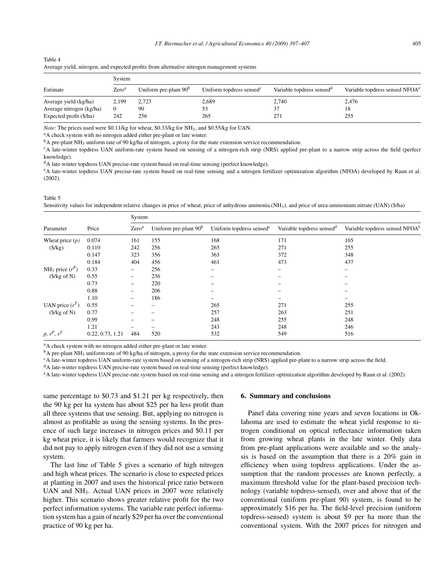| <u>Trende Jiera, ma ogén, une expected promo from unernan e ma ogén management o joienno</u> |                   |                         |                                      |                                       |                                            |  |  |  |
|----------------------------------------------------------------------------------------------|-------------------|-------------------------|--------------------------------------|---------------------------------------|--------------------------------------------|--|--|--|
| Estimate                                                                                     | System            |                         |                                      |                                       |                                            |  |  |  |
|                                                                                              | Zero <sup>a</sup> | Uniform pre-plant $90b$ | Uniform topdress sensed <sup>c</sup> | Variable topdress sensed <sup>d</sup> | Variable topdress sensed NFOA <sup>e</sup> |  |  |  |
| Average yield (kg/ha)                                                                        | 2,199             | 2.723                   | 2,689                                | 2,740                                 | 2,476                                      |  |  |  |
| Average nitrogen (kg/ha)                                                                     |                   | 90                      | 53                                   | 37                                    | 18                                         |  |  |  |
| Expected profit (\$/ha)                                                                      | 242               | 256                     | 265                                  | 271                                   | 255                                        |  |  |  |

| Table 4 |  |                                                                                            |
|---------|--|--------------------------------------------------------------------------------------------|
|         |  | Average yield, nitrogen, and expected profits from alternative nitrogen management systems |

*Note*: The prices used were \$0.11/kg for wheat, \$0.33/kg for NH<sub>3</sub>, and \$0.55/kg for UAN. <sup>a</sup>A check system with no nitrogen added either pre-plant or late winter.

<sup>b</sup>A pre-plant NH<sub>3</sub> uniform rate of 90 kg/ha of nitrogen, a proxy for the state extension service recommendation.<br><sup>c</sup>A late-winter topdress UAN uniform-rate system based on sensing of a nitrogen-rich strip (NRS) applied p knowledge).

<sup>d</sup>A late-winter topdress UAN precise-rate system based on real-time sensing (perfect knowledge).

eA late-winter topdress UAN precise-rate system based on real-time sensing and a nitrogen fertilizer optimization algorithm (NFOA) developed by Raun et al. (2002).

Table 5

Sensitivity values for independent relative changes in price of wheat, price of anhydrous ammonia (NH3), and price of urea-ammonium nitrate (UAN) (\$/ha)

|                               | Price            | System                   |                         |                                      |                                       |                                            |  |  |
|-------------------------------|------------------|--------------------------|-------------------------|--------------------------------------|---------------------------------------|--------------------------------------------|--|--|
| Parameter                     |                  | Zero <sup>a</sup>        | Uniform pre-plant $90b$ | Uniform topdress sensed <sup>c</sup> | Variable topdress sensed <sup>d</sup> | Variable topdress sensed NFOA <sup>e</sup> |  |  |
| Wheat price $(p)$             | 0.074            | 161                      | 155                     | 168                                  | 171                                   | 165                                        |  |  |
| $(\frac{5}{kg})$              | 0.110            | 242                      | 256                     | 265                                  | 271                                   | 255                                        |  |  |
|                               | 0.147            | 323                      | 356                     | 363                                  | 372                                   | 348                                        |  |  |
|                               | 0.184            | 404                      | 456                     | 461                                  | 473                                   | 437                                        |  |  |
| NH <sub>3</sub> price $(r^P)$ | 0.33             | $\qquad \qquad -$        | 256                     | $\qquad \qquad$                      |                                       | $\qquad \qquad$                            |  |  |
| $(\$/kg of N)$                | 0.55             | $\qquad \qquad$          | 236                     |                                      |                                       |                                            |  |  |
|                               | 0.73             | $\overline{\phantom{0}}$ | 220                     |                                      |                                       |                                            |  |  |
|                               | 0.88             | -                        | 206                     | $\overline{\phantom{m}}$             |                                       |                                            |  |  |
|                               | 1.10             |                          | 186                     |                                      |                                       |                                            |  |  |
| UAN price $(r^T)$             | 0.55             |                          |                         | 265                                  | 271                                   | 255                                        |  |  |
| $(\frac{5}{kg}$ of N)         | 0.77             |                          |                         | 257                                  | 263                                   | 251                                        |  |  |
|                               | 0.99             |                          |                         | 248                                  | 255                                   | 248                                        |  |  |
|                               | 1.21             |                          |                         | 243                                  | 248                                   | 246                                        |  |  |
| $p, r^P, r^T$                 | 0.22, 0.73, 1.21 | 484                      | 520                     | 532                                  | 549                                   | 516                                        |  |  |

<sup>a</sup>A check system with no nitrogen added either pre-plant or late winter.<br><sup>b</sup>A pre-plant NH<sub>3</sub> uniform rate of 90 kg/ha of nitrogen, a proxy for the state extension service recommendation.

<sup>c</sup>A late-winter topdress UAN uniform-rate system based on sensing of a nitrogen-rich strip (NRS) applied pre-plant to a narrow strip across the field.

<sup>d</sup>A late-winter topdress UAN precise-rate system based on real-time sensing (perfect knowledge).

eA late-winter topdress UAN precise-rate system based on real-time sensing and a nitrogen fertilizer optimization algorithm developed by Raun et al. (2002).

same percentage to \$0.73 and \$1.21 per kg respectively, then the 90 kg per ha system has about \$25 per ha less profit than all three systems that use sensing. But, applying no nitrogen is almost as profitable as using the sensing systems. In the presence of such large increases in nitrogen prices and \$0.11 per kg wheat price, it is likely that farmers would recognize that it did not pay to apply nitrogen even if they did not use a sensing system.

The last line of Table 5 gives a scenario of high nitrogen and high wheat prices. The scenario is close to expected prices at planting in 2007 and uses the historical price ratio between UAN and  $NH<sub>3</sub>$ . Actual UAN prices in 2007 were relatively higher. This scenario shows greater relative profit for the two perfect information systems. The variable rate perfect information system has a gain of nearly \$29 per ha over the conventional practice of 90 kg per ha.

#### **6. Summary and conclusions**

Panel data covering nine years and seven locations in Oklahoma are used to estimate the wheat yield response to nitrogen conditional on optical reflectance information taken from growing wheat plants in the late winter. Only data from pre-plant applications were available and so the analysis is based on the assumption that there is a 20% gain in efficiency when using topdress applications. Under the assumption that the random processes are known perfectly, a maximum threshold value for the plant-based precision technology (variable topdress-sensed), over and above that of the conventional (uniform pre-plant 90) system, is found to be approximately \$16 per ha. The field-level precision (uniform topdress-sensed) system is about \$9 per ha more than the conventional system. With the 2007 prices for nitrogen and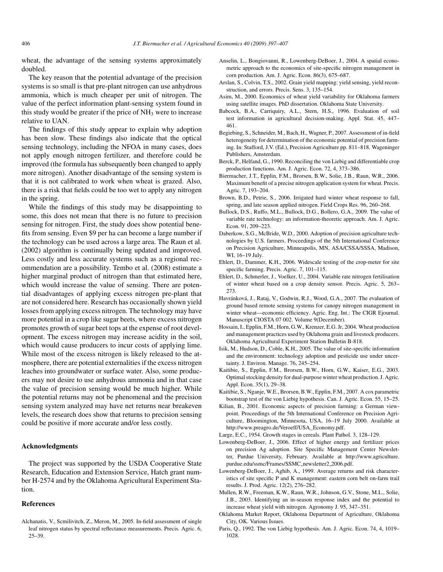wheat, the advantage of the sensing systems approximately doubled.

The key reason that the potential advantage of the precision systems is so small is that pre-plant nitrogen can use anhydrous ammonia, which is much cheaper per unit of nitrogen. The value of the perfect information plant-sensing system found in this study would be greater if the price of  $NH<sub>3</sub>$  were to increase relative to UAN.

The findings of this study appear to explain why adoption has been slow. These findings also indicate that the optical sensing technology, including the NFOA in many cases, does not apply enough nitrogen fertilizer, and therefore could be improved (the formula has subsequently been changed to apply more nitrogen). Another disadvantage of the sensing system is that it is not calibrated to work when wheat is grazed. Also, there is a risk that fields could be too wet to apply any nitrogen in the spring.

While the findings of this study may be disappointing to some, this does not mean that there is no future to precision sensing for nitrogen. First, the study does show potential benefits from sensing. Even \$9 per ha can become a large number if the technology can be used across a large area. The Raun et al. (2002) algorithm is continually being updated and improved. Less costly and less accurate systems such as a regional recommendation are a possibility. Tembo et al. (2008) estimate a higher marginal product of nitrogen than that estimated here, which would increase the value of sensing. There are potential disadvantages of applying excess nitrogen pre-plant that are not considered here. Research has occasionally shown yield losses from applying excess nitrogen. The technology may have more potential in a crop like sugar beets, where excess nitrogen promotes growth of sugar beet tops at the expense of root development. The excess nitrogen may increase acidity in the soil, which would cause producers to incur costs of applying lime. While most of the excess nitrogen is likely released to the atmosphere, there are potential externalities if the excess nitrogen leaches into groundwater or surface water. Also, some producers may not desire to use anhydrous ammonia and in that case the value of precision sensing would be much higher. While the potential returns may not be phenomenal and the precision sensing system analyzed may have net returns near breakeven levels, the research does show that returns to precision sensing could be positive if more accurate and/or less costly.

## **Acknowledgments**

The project was supported by the USDA Cooperative State Research, Education and Extension Service, Hatch grant number H-2574 and by the Oklahoma Agricultural Experiment Station.

# **References**

Alchanatis, V., Scmilivitch, Z., Meron, M., 2005. In-field assessment of single leaf nitrogen status by spectral reflectance measurements. Precis. Agric. 6, 25–39.

- Anselin, L., Bongiovanni, R., Lowenberg-DeBoer, J., 2004. A spatial econometric approach to the economics of site-specific nitrogen management in corn production. Am. J. Agric. Econ. 86(3), 675–687.
- Arslan, S., Colvin, T.S., 2002. Grain yield mapping: yield sensing, yield reconstruction, and errors. Precis. Sens. 3, 135–154.
- Asim, M., 2000. Economics of wheat yield variability for Oklahoma farmers using satellite images. PhD dissertation. Oklahoma State University.
- Babcock, B.A., Carriquiry, A.L., Stern, H.S., 1996. Evaluation of soil test information in agricultural decision-making. Appl. Stat. 45, 447– 461.
- Begiebing, S., Schneider, M., Bach, H., Wagner, P., 2007. Assessment of in-field heterogeneity for determination of the economic potential of precision farming. In: Stafford, J.V. (Ed.), Precision Agriculture pp. 811–818. Wageninger Publishers, Amsterdam.
- Berck, P., Helfand, G., 1990. Reconciling the von Liebig and differentiable crop production functions. Am. J. Agric. Econ. 72, 4, 373–386.
- Biermacher, J.T., Epplin, F.M., Brorsen, B.W., Solie, J.B., Raun, W.R., 2006. Maximum benefit of a precise nitrogen application system for wheat. Precis. Agric. 7, 193–204.
- Brown, B.D., Petrie, S., 2006. Irrigated hard winter wheat response to fall, spring, and late season applied nitrogen. Field Crops Res. 96, 260–268.
- Bullock, D.S., Ruffo, M.L., Bullock, D.G., Bollero, G.A., 2009. The value of variable rate technology: an information-theoretic approach. Am. J. Agric. Econ. 91, 209–223.
- Daberkow, S.G., McBride, W.D., 2000. Adoption of precision agriculture technologies by U.S. farmers. Proceedings of the 5th International Conference on Precision Agriculture, Minneapolis, MN, ASA/CSSA/SSSA, Madison, WI, 16–19 July.
- Ehlert, D., Dammer, K.H., 2006. Widescale testing of the crop-meter for site specific farming. Precis. Agric. 7, 101–115.
- Ehlert, D., Schmerler, J., Voelker, U., 2004. Variable rate nitrogen fertilisation of winter wheat based on a crop density sensor. Precis. Agric. 5, 263– 273.
- Havránková, J., Rataj, V., Godwin, R.J., Wood, G.A., 2007. The evaluation of ground based remote sensing systems for canopy nitrogen management in winter wheat—economic efficiency. Agric. Eng. Int.: The CIGR Ejournal. Manuscript CIOSTA 07 002. Volume 9(December).
- Hossain, I., Epplin, F.M., Horn, G.W., Krenzer, E.G. Jr, 2004. Wheat production and management practices used by Oklahoma grain and livestock producers. Oklahoma Agricultural Experiment Station Bulletin B-818.
- Isik, M., Hudson, D., Coble, K.H., 2005. The value of site-specific information and the environment: technology adoption and pesticide use under uncertainty. J. Environ. Manage. 76, 245–254.
- Kaitibie, S., Epplin, F.M., Brorsen, B.W., Horn, G.W., Kaiser, E.G., 2003. Optimal stocking density for dual-purpose winter wheat production. J. Agric. Appl. Econ. 35(1), 29–38.
- Kaitibie, S., Nganje, W.E., Brorsen, B.W., Epplin, F.M., 2007. A cox parametric bootstrap test of the von Liebig hypothesis. Can. J. Agric. Econ. 55, 15–25.
- Kilian, B., 2001. Economic aspects of precision farming: a German viewpoint. Proceedings of the 5th International Conference on Precision Agriculture, Bloomington, Minnesota, USA, 16–19 July 2000. Available at http://www.preagro.de/Veroeff/USA\_Economy.pdf.

Large, E.C., 1954. Growth stages in cereals. Plant Pathol. 3, 128–129.

- Lowenberg-DeBoer, J., 2006. Effect of higher energy and fertilizer prices on precision Ag adoption. Site Specific Management Center Newsletter, Purdue University, February. Available at http://www.agriculture. purdue.edu/ssmc/Frames/SSMC\_newsletter2\_2006.pdf.
- Lowenberg-DeBoer, J., Aghib, A., 1999. Average returns and risk characteristics of site specific P and K management: eastern corn belt on-farm trail results. J. Prod. Agric. 12(2), 276–282.
- Mullen, R.W., Freeman, K.W., Raun, W.R., Johnson, G.V., Stone, M.L., Solie, J.B., 2003. Identifying an in-season response index and the potential to increase wheat yield with nitrogen. Agronomy J. 95, 347–351.
- Oklahoma Market Report, Oklahoma Department of Agriculture, Oklahoma City, OK. Various Issues.
- Paris, Q., 1992. The von Liebig hypothesis. Am. J. Agric. Econ. 74, 4, 1019– 1028.